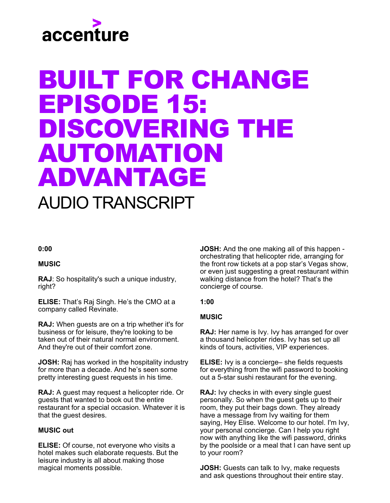# accenture

# BUILT FOR CHANGE EPISODE 15: DISCOVERING THE AUTOMATION ADVANTAGE AUDIO TRANSCRIPT

## **0:00**

# **MUSIC**

**RAJ**: So hospitality's such a unique industry, right?

**ELISE:** That's Raj Singh. He's the CMO at a company called Revinate.

**RAJ:** When guests are on a trip whether it's for business or for leisure, they're looking to be taken out of their natural normal environment. And they're out of their comfort zone.

**JOSH:** Raj has worked in the hospitality industry for more than a decade. And he's seen some pretty interesting guest requests in his time.

**RAJ:** A guest may request a helicopter ride. Or guests that wanted to book out the entire restaurant for a special occasion. Whatever it is that the guest desires.

# **MUSIC out**

**ELISE:** Of course, not everyone who visits a hotel makes such elaborate requests. But the leisure industry is all about making those magical moments possible.

**JOSH:** And the one making all of this happen orchestrating that helicopter ride, arranging for the front row tickets at a pop star's Vegas show, or even just suggesting a great restaurant within walking distance from the hotel? That's the concierge of course.

#### **1:00**

# **MUSIC**

**RAJ:** Her name is Ivy. Ivy has arranged for over a thousand helicopter rides. Ivy has set up all kinds of tours, activities, VIP experiences.

**ELISE:** Ivy is a concierge– she fields requests for everything from the wifi password to booking out a 5-star sushi restaurant for the evening.

**RAJ:** Ivy checks in with every single guest personally. So when the guest gets up to their room, they put their bags down. They already have a message from Ivy waiting for them saying, Hey Elise. Welcome to our hotel. I'm Ivy, your personal concierge. Can I help you right now with anything like the wifi password, drinks by the poolside or a meal that I can have sent up to your room?

**JOSH:** Guests can talk to Ivy, make requests and ask questions throughout their entire stay.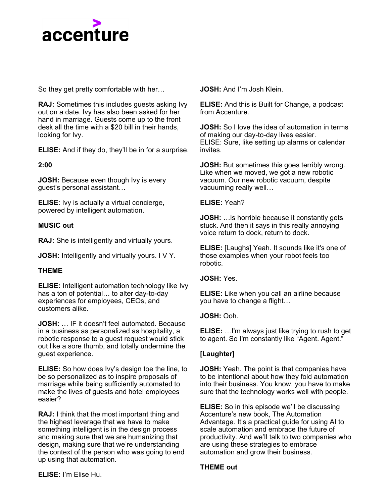

So they get pretty comfortable with her…

**RAJ:** Sometimes this includes guests asking Ivy out on a date. Ivy has also been asked for her hand in marriage. Guests come up to the front desk all the time with a \$20 bill in their hands, looking for Ivy.

**ELISE:** And if they do, they'll be in for a surprise.

#### **2:00**

**JOSH:** Because even though Ivy is every guest's personal assistant…

**ELISE**: Ivy is actually a virtual concierge, powered by intelligent automation.

#### **MUSIC out**

**RAJ:** She is intelligently and virtually yours.

**JOSH:** Intelligently and virtually yours. I V Y.

# **THEME**

**ELISE:** Intelligent automation technology like Ivy has a ton of potential… to alter day-to-day experiences for employees, CEOs, and customers alike.

**JOSH:** … IF it doesn't feel automated. Because in a business as personalized as hospitality, a robotic response to a guest request would stick out like a sore thumb, and totally undermine the guest experience.

**ELISE:** So how does Ivy's design toe the line, to be so personalized as to inspire proposals of marriage while being sufficiently automated to make the lives of guests and hotel employees easier?

**RAJ:** I think that the most important thing and the highest leverage that we have to make something intelligent is in the design process and making sure that we are humanizing that design, making sure that we're understanding the context of the person who was going to end up using that automation.

**JOSH:** And I'm Josh Klein.

**ELISE:** And this is Built for Change, a podcast from Accenture.

**JOSH:** So I love the idea of automation in terms of making our day-to-day lives easier. ELISE: Sure, like setting up alarms or calendar invites.

**JOSH:** But sometimes this goes terribly wrong. Like when we moved, we got a new robotic vacuum. Our new robotic vacuum, despite vacuuming really well…

**ELISE:** Yeah?

**JOSH:** …is horrible because it constantly gets stuck. And then it says in this really annoying voice return to dock, return to dock.

**ELISE:** [Laughs] Yeah. It sounds like it's one of those examples when your robot feels too robotic.

# **JOSH:** Yes.

**ELISE:** Like when you call an airline because you have to change a flight…

**JOSH:** Ooh.

**ELISE:** …I'm always just like trying to rush to get to agent. So I'm constantly like "Agent. Agent."

# **[Laughter]**

**JOSH:** Yeah. The point is that companies have to be intentional about how they fold automation into their business. You know, you have to make sure that the technology works well with people.

**ELISE:** So in this episode we'll be discussing Accenture's new book, The Automation Advantage. It's a practical guide for using AI to scale automation and embrace the future of productivity. And we'll talk to two companies who are using these strategies to embrace automation and grow their business.

# **THEME out**

**ELISE:** I'm Elise Hu.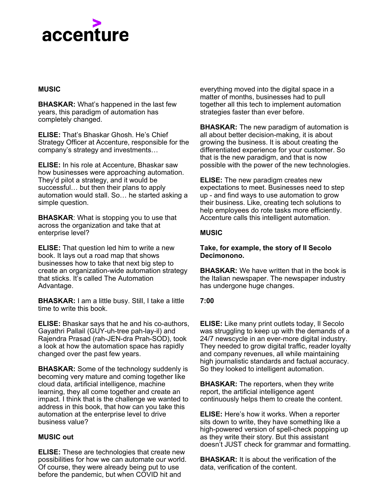

#### **MUSIC**

**BHASKAR:** What's happened in the last few years, this paradigm of automation has completely changed.

**ELISE:** That's Bhaskar Ghosh. He's Chief Strategy Officer at Accenture, responsible for the company's strategy and investments…

**ELISE:** In his role at Accenture, Bhaskar saw how businesses were approaching automation. They'd pilot a strategy, and it would be successful… but then their plans to apply automation would stall. So… he started asking a simple question.

**BHASKAR**: What is stopping you to use that across the organization and take that at enterprise level?

**ELISE:** That question led him to write a new book. It lays out a road map that shows businesses how to take that next big step to create an organization-wide automation strategy that sticks. It's called The Automation Advantage.

**BHASKAR:** I am a little busy. Still, I take a little time to write this book.

**ELISE:** Bhaskar says that he and his co-authors, Gayathri Pallail (GUY-uh-tree pah-lay-il) and Rajendra Prasad (rah-JEN-dra Prah-SOD), took a look at how the automation space has rapidly changed over the past few years.

**BHASKAR:** Some of the technology suddenly is becoming very mature and coming together like cloud data, artificial intelligence, machine learning, they all come together and create an impact. I think that is the challenge we wanted to address in this book, that how can you take this automation at the enterprise level to drive business value?

# **MUSIC out**

**ELISE:** These are technologies that create new possibilities for how we can automate our world. Of course, they were already being put to use before the pandemic, but when COVID hit and

everything moved into the digital space in a matter of months, businesses had to pull together all this tech to implement automation strategies faster than ever before.

**BHASKAR:** The new paradigm of automation is all about better decision-making, it is about growing the business. It is about creating the differentiated experience for your customer. So that is the new paradigm, and that is now possible with the power of the new technologies.

**ELISE:** The new paradigm creates new expectations to meet. Businesses need to step up - and find ways to use automation to grow their business. Like, creating tech solutions to help employees do rote tasks more efficiently. Accenture calls this intelligent automation.

#### **MUSIC**

#### **Take, for example, the story of II Secolo** Decimonono.

**BHASKAR:** We have written that in the book is the Italian newspaper. The newspaper industry has undergone huge changes.

#### **7:00**

**ELISE:** Like many print outlets today, Il Secolo was struggling to keep up with the demands of a 24/7 newscycle in an ever-more digital industry. They needed to grow digital traffic, reader loyalty and company revenues, all while maintaining high journalistic standards and factual accuracy. So they looked to intelligent automation.

**BHASKAR:** The reporters, when they write report, the artificial intelligence agent continuously helps them to create the content.

**ELISE:** Here's how it works. When a reporter sits down to write, they have something like a high-powered version of spell-check popping up as they write their story. But this assistant doesn't JUST check for grammar and formatting.

**BHASKAR:** It is about the verification of the data, verification of the content.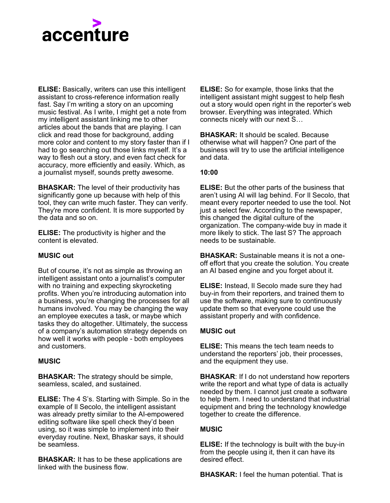

**ELISE:** Basically, writers can use this intelligent assistant to cross-reference information really fast. Say I'm writing a story on an upcoming music festival. As I write, I might get a note from my intelligent assistant linking me to other articles about the bands that are playing. I can click and read those for background, adding more color and content to my story faster than if I had to go searching out those links myself. It's a way to flesh out a story, and even fact check for accuracy, more efficiently and easily. Which, as a journalist myself, sounds pretty awesome.

**BHASKAR:** The level of their productivity has significantly gone up because with help of this tool, they can write much faster. They can verify. They're more confident. It is more supported by the data and so on.

**ELISE:** The productivity is higher and the content is elevated.

#### **MUSIC out**

But of course, it's not as simple as throwing an intelligent assistant onto a journalist's computer with no training and expecting skyrocketing profits. When you're introducing automation into a business, you're changing the processes for all humans involved. You may be changing the way an employee executes a task, or maybe which tasks they do altogether. Ultimately, the success of a company's automation strategy depends on how well it works with people - both employees and customers.

# **MUSIC**

**BHASKAR:** The strategy should be simple, seamless, scaled, and sustained.

**ELISE:** The 4 S's. Starting with Simple. So in the example of Il Secolo, the intelligent assistant was already pretty similar to the AI-empowered editing software like spell check they'd been using, so it was simple to implement into their everyday routine. Next, Bhaskar says, it should be seamless.

**BHASKAR:** It has to be these applications are linked with the business flow.

**ELISE:** So for example, those links that the intelligent assistant might suggest to help flesh out a story would open right in the reporter's web browser. Everything was integrated. Which connects nicely with our next S…

**BHASKAR:** It should be scaled. Because otherwise what will happen? One part of the business will try to use the artificial intelligence and data.

#### **10:00**

**ELISE:** But the other parts of the business that aren't using AI will lag behind. For Il Secolo, that meant every reporter needed to use the tool. Not just a select few. According to the newspaper, this changed the digital culture of the organization. The company-wide buy in made it more likely to stick. The last S? The approach needs to be sustainable.

**BHASKAR:** Sustainable means it is not a oneoff effort that you create the solution. You create an AI based engine and you forget about it.

**ELISE:** Instead, Il Secolo made sure they had buy-in from their reporters, and trained them to use the software, making sure to continuously update them so that everyone could use the assistant properly and with confidence.

# **MUSIC out**

**ELISE:** This means the tech team needs to understand the reporters' job, their processes, and the equipment they use.

**BHASKAR**: If I do not understand how reporters write the report and what type of data is actually needed by them. I cannot just create a software to help them. I need to understand that industrial equipment and bring the technology knowledge together to create the difference.

# **MUSIC**

**ELISE:** If the technology is built with the buy-in from the people using it, then it can have its desired effect.

**BHASKAR:** I feel the human potential. That is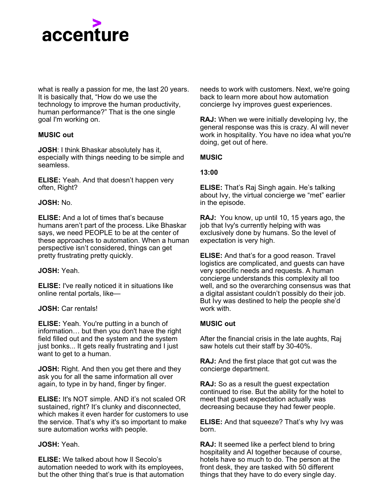

what is really a passion for me, the last 20 years. It is basically that, "How do we use the technology to improve the human productivity, human performance?" That is the one single goal I'm working on.

#### **MUSIC out**

**JOSH**: I think Bhaskar absolutely has it, especially with things needing to be simple and seamless.

**ELISE:** Yeah. And that doesn't happen very often, Right?

#### **JOSH:** No.

**ELISE:** And a lot of times that's because humans aren't part of the process. Like Bhaskar says, we need PEOPLE to be at the center of these approaches to automation. When a human perspective isn't considered, things can get pretty frustrating pretty quickly.

#### **JOSH:** Yeah.

**ELISE:** I've really noticed it in situations like online rental portals, like—

#### **JOSH:** Car rentals!

**ELISE:** Yeah. You're putting in a bunch of information… but then you don't have the right field filled out and the system and the system just bonks... It gets really frustrating and I just want to get to a human.

**JOSH:** Right. And then you get there and they ask you for all the same information all over again, to type in by hand, finger by finger.

**ELISE:** It's NOT simple. AND it's not scaled OR sustained, right? It's clunky and disconnected, which makes it even harder for customers to use the service. That's why it's so important to make sure automation works with people.

#### **JOSH:** Yeah.

**ELISE:** We talked about how Il Secolo's automation needed to work with its employees, but the other thing that's true is that automation needs to work with customers. Next, we're going back to learn more about how automation concierge Ivy improves guest experiences.

**RAJ:** When we were initially developing Ivy, the general response was this is crazy. AI will never work in hospitality. You have no idea what you're doing, get out of here.

#### **MUSIC**

#### **13:00**

**ELISE:** That's Raj Singh again. He's talking about Ivy, the virtual concierge we "met" earlier in the episode.

**RAJ:** You know, up until 10, 15 years ago, the job that Ivy's currently helping with was exclusively done by humans. So the level of expectation is very high.

**ELISE:** And that's for a good reason. Travel logistics are complicated, and guests can have very specific needs and requests. A human concierge understands this complexity all too well, and so the overarching consensus was that a digital assistant couldn't possibly do their job. But Ivy was destined to help the people she'd work with

#### **MUSIC out**

After the financial crisis in the late aughts, Raj saw hotels cut their staff by 30-40%.

**RAJ:** And the first place that got cut was the concierge department.

**RAJ:** So as a result the guest expectation continued to rise. But the ability for the hotel to meet that guest expectation actually was decreasing because they had fewer people.

**ELISE:** And that squeeze? That's why Ivy was born.

**RAJ:** It seemed like a perfect blend to bring hospitality and AI together because of course, hotels have so much to do. The person at the front desk, they are tasked with 50 different things that they have to do every single day.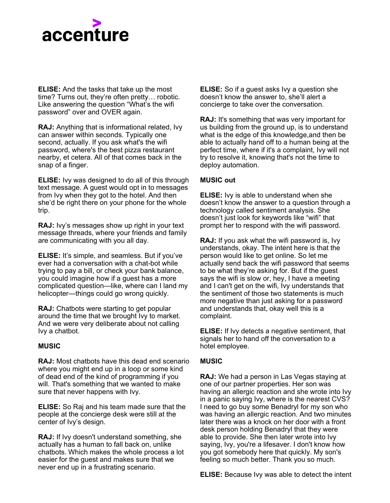

**ELISE:** And the tasks that take up the most time? Turns out, they're often pretty… robotic. Like answering the question "What's the wifi password" over and OVER again.

**RAJ:** Anything that is informational related, Ivy can answer within seconds. Typically one second, actually. If you ask what's the wifi password, where's the best pizza restaurant nearby, et cetera. All of that comes back in the snap of a finger.

**ELISE:** Ivy was designed to do all of this through text message. A guest would opt in to messages from Ivy when they got to the hotel. And then she'd be right there on your phone for the whole trip.

**RAJ:** Ivy's messages show up right in your text message threads, where your friends and family are communicating with you all day.

**ELISE:** It's simple, and seamless. But if you've ever had a conversation with a chat-bot while trying to pay a bill, or check your bank balance, you could imagine how if a guest has a more complicated question—like, where can I land my helicopter—things could go wrong quickly.

**RAJ:** Chatbots were starting to get popular around the time that we brought Ivy to market. And we were very deliberate about not calling Ivy a chatbot.

#### **MUSIC**

**RAJ:** Most chatbots have this dead end scenario where you might end up in a loop or some kind of dead end of the kind of programming if you will. That's something that we wanted to make sure that never happens with Ivy.

**ELISE:** So Raj and his team made sure that the people at the concierge desk were still at the center of Ivy's design.

**RAJ:** If Ivy doesn't understand something, she actually has a human to fall back on, unlike chatbots. Which makes the whole process a lot easier for the guest and makes sure that we never end up in a frustrating scenario.

**ELISE:** So if a guest asks Ivy a question she doesn't know the answer to, she'll alert a concierge to take over the conversation.

**RAJ:** It's something that was very important for us building from the ground up, is to understand what is the edge of this knowledge,and then be able to actually hand off to a human being at the perfect time, where if it's a complaint, Ivy will not try to resolve it, knowing that's not the time to deploy automation.

#### **MUSIC out**

**ELISE:** Ivy is able to understand when she doesn't know the answer to a question through a technology called sentiment analysis. She doesn't just look for keywords like "wifi" that prompt her to respond with the wifi password.

**RAJ:** If you ask what the wifi password is, Ivy understands, okay. The intent here is that the person would like to get online. So let me actually send back the wifi password that seems to be what they're asking for. But if the guest says the wifi is slow or, hey, I have a meeting and I can't get on the wifi, Ivy understands that the sentiment of those two statements is much more negative than just asking for a password and understands that, okay well this is a complaint.

**ELISE:** If Ivy detects a negative sentiment, that signals her to hand off the conversation to a hotel employee.

# **MUSIC**

**RAJ:** We had a person in Las Vegas staying at one of our partner properties. Her son was having an allergic reaction and she wrote into Ivy in a panic saying Ivy, where is the nearest CVS? I need to go buy some Benadryl for my son who was having an allergic reaction. And two minutes later there was a knock on her door with a front desk person holding Benadryl that they were able to provide. She then later wrote into Ivy saying, Ivy, you're a lifesaver. I don't know how you got somebody here that quickly. My son's feeling so much better. Thank you so much.

**ELISE:** Because Ivy was able to detect the intent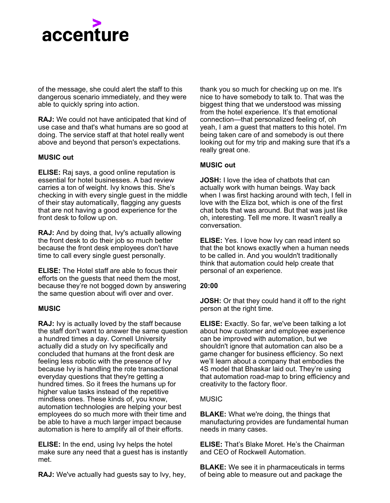

of the message, she could alert the staff to this dangerous scenario immediately, and they were able to quickly spring into action.

**RAJ:** We could not have anticipated that kind of use case and that's what humans are so good at doing. The service staff at that hotel really went above and beyond that person's expectations.

#### **MUSIC out**

**ELISE:** Raj says, a good online reputation is essential for hotel businesses. A bad review carries a ton of weight. Ivy knows this. She's checking in with every single guest in the middle of their stay automatically, flagging any guests that are not having a good experience for the front desk to follow up on.

**RAJ:** And by doing that, Ivy's actually allowing the front desk to do their job so much better because the front desk employees don't have time to call every single guest personally.

**ELISE:** The Hotel staff are able to focus their efforts on the guests that need them the most, because they're not bogged down by answering the same question about wifi over and over.

# **MUSIC**

**RAJ:** Ivy is actually loved by the staff because the staff don't want to answer the same question a hundred times a day. Cornell University actually did a study on Ivy specifically and concluded that humans at the front desk are feeling less robotic with the presence of Ivy because Ivy is handling the rote transactional everyday questions that they're getting a hundred times. So it frees the humans up for higher value tasks instead of the repetitive mindless ones. These kinds of, you know, automation technologies are helping your best employees do so much more with their time and be able to have a much larger impact because automation is here to amplify all of their efforts.

**ELISE:** In the end, using Ivy helps the hotel make sure any need that a guest has is instantly met.

**RAJ:** We've actually had guests say to Ivy, hey,

thank you so much for checking up on me. It's nice to have somebody to talk to. That was the biggest thing that we understood was missing from the hotel experience. It's that emotional connection—that personalized feeling of, oh yeah, I am a guest that matters to this hotel. I'm being taken care of and somebody is out there looking out for my trip and making sure that it's a really great one.

# **MUSIC out**

**JOSH:** I love the idea of chatbots that can actually work with human beings. Way back when I was first hacking around with tech, I fell in love with the Eliza bot, which is one of the first chat bots that was around. But that was just like oh, interesting. Tell me more. It wasn't really a conversation.

**ELISE:** Yes. I love how Ivy can read intent so that the bot knows exactly when a human needs to be called in. And you wouldn't traditionally think that automation could help create that personal of an experience.

#### **20:00**

**JOSH:** Or that they could hand it off to the right person at the right time.

**ELISE:** Exactly. So far, we've been talking a lot about how customer and employee experience can be improved with automation, but we shouldn't ignore that automation can also be a game changer for business efficiency. So next we'll learn about a company that embodies the 4S model that Bhaskar laid out. They're using that automation road-map to bring efficiency and creativity to the factory floor.

#### **MUSIC**

**BLAKE:** What we're doing, the things that manufacturing provides are fundamental human needs in many cases.

**ELISE:** That's Blake Moret. He's the Chairman and CEO of Rockwell Automation.

**BLAKE:** We see it in pharmaceuticals in terms of being able to measure out and package the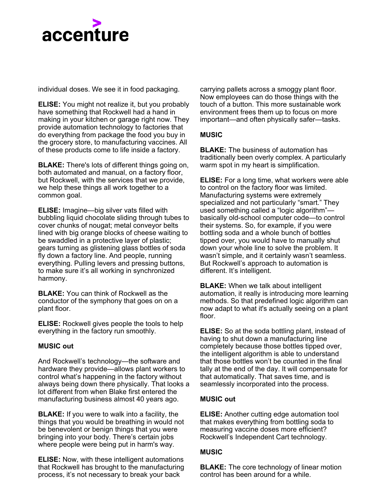

individual doses. We see it in food packaging.

**ELISE:** You might not realize it, but you probably have something that Rockwell had a hand in making in your kitchen or garage right now. They provide automation technology to factories that do everything from package the food you buy in the grocery store, to manufacturing vaccines. All of these products come to life inside a factory.

**BLAKE:** There's lots of different things going on, both automated and manual, on a factory floor, but Rockwell, with the services that we provide, we help these things all work together to a common goal.

**ELISE:** Imagine—big silver vats filled with bubbling liquid chocolate sliding through tubes to cover chunks of nougat; metal conveyor belts lined with big orange blocks of cheese waiting to be swaddled in a protective layer of plastic; gears turning as glistening glass bottles of soda fly down a factory line. And people, running everything. Pulling levers and pressing buttons, to make sure it's all working in synchronized harmony.

**BLAKE:** You can think of Rockwell as the conductor of the symphony that goes on on a plant floor.

**ELISE:** Rockwell gives people the tools to help everything in the factory run smoothly.

# **MUSIC out**

And Rockwell's technology—the software and hardware they provide—allows plant workers to control what's happening in the factory without always being down there physically. That looks a lot different from when Blake first entered the manufacturing business almost 40 years ago.

**BLAKE:** If you were to walk into a facility, the things that you would be breathing in would not be benevolent or benign things that you were bringing into your body. There's certain jobs where people were being put in harm's way.

**ELISE:** Now, with these intelligent automations that Rockwell has brought to the manufacturing process, it's not necessary to break your back

carrying pallets across a smoggy plant floor. Now employees can do those things with the touch of a button. This more sustainable work environment frees them up to focus on more important—and often physically safer—tasks.

# **MUSIC**

**BLAKE:** The business of automation has traditionally been overly complex. A particularly warm spot in my heart is simplification.

**ELISE:** For a long time, what workers were able to control on the factory floor was limited. Manufacturing systems were extremely specialized and not particularly "smart." They used something called a "logic algorithm" basically old-school computer code—to control their systems. So, for example, if you were bottling soda and a whole bunch of bottles tipped over, you would have to manually shut down your whole line to solve the problem. It wasn't simple, and it certainly wasn't seamless. But Rockwell's approach to automation is different. It's intelligent.

**BLAKE:** When we talk about intelligent automation, it really is introducing more learning methods. So that predefined logic algorithm can now adapt to what it's actually seeing on a plant floor.

**ELISE:** So at the soda bottling plant, instead of having to shut down a manufacturing line completely because those bottles tipped over, the intelligent algorithm is able to understand that those bottles won't be counted in the final tally at the end of the day. It will compensate for that automatically. That saves time, and is seamlessly incorporated into the process.

# **MUSIC out**

**ELISE:** Another cutting edge automation tool that makes everything from bottling soda to measuring vaccine doses more efficient? Rockwell's Independent Cart technology.

# **MUSIC**

**BLAKE:** The core technology of linear motion control has been around for a while.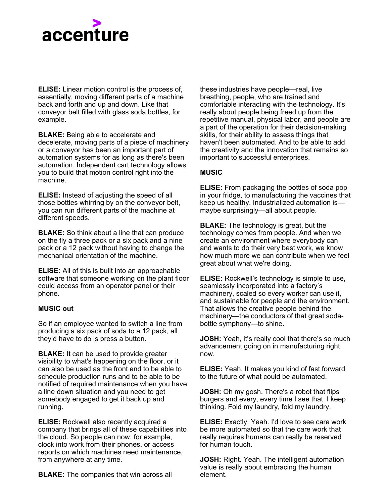

**ELISE:** Linear motion control is the process of, essentially, moving different parts of a machine back and forth and up and down. Like that conveyor belt filled with glass soda bottles, for example.

**BLAKE:** Being able to accelerate and decelerate, moving parts of a piece of machinery or a conveyor has been an important part of automation systems for as long as there's been automation. Independent cart technology allows you to build that motion control right into the machine.

**ELISE:** Instead of adjusting the speed of all those bottles whirring by on the conveyor belt, you can run different parts of the machine at different speeds.

**BLAKE:** So think about a line that can produce on the fly a three pack or a six pack and a nine pack or a 12 pack without having to change the mechanical orientation of the machine.

**ELISE:** All of this is built into an approachable software that someone working on the plant floor could access from an operator panel or their phone.

#### **MUSIC out**

So if an employee wanted to switch a line from producing a six pack of soda to a 12 pack, all they'd have to do is press a button.

**BLAKE:** It can be used to provide greater visibility to what's happening on the floor, or it can also be used as the front end to be able to schedule production runs and to be able to be notified of required maintenance when you have a line down situation and you need to get somebody engaged to get it back up and running.

**ELISE:** Rockwell also recently acquired a company that brings all of these capabilities into the cloud. So people can now, for example, clock into work from their phones, or access reports on which machines need maintenance, from anywhere at any time.

**BLAKE:** The companies that win across all

these industries have people—real, live breathing, people, who are trained and comfortable interacting with the technology. It's really about people being freed up from the repetitive manual, physical labor, and people are a part of the operation for their decision-making skills, for their ability to assess things that haven't been automated. And to be able to add the creativity and the innovation that remains so important to successful enterprises.

#### **MUSIC**

**ELISE:** From packaging the bottles of soda pop in your fridge, to manufacturing the vaccines that keep us healthy. Industrialized automation is maybe surprisingly—all about people.

**BLAKE:** The technology is great, but the technology comes from people. And when we create an environment where everybody can and wants to do their very best work, we know how much more we can contribute when we feel great about what we're doing.

**ELISE:** Rockwell's technology is simple to use, seamlessly incorporated into a factory's machinery, scaled so every worker can use it, and sustainable for people and the environment. That allows the creative people behind the machinery—the conductors of that great sodabottle symphony—to shine.

**JOSH:** Yeah, it's really cool that there's so much advancement going on in manufacturing right now.

**ELISE:** Yeah. It makes you kind of fast forward to the future of what could be automated.

**JOSH:** Oh my gosh. There's a robot that flips burgers and every, every time I see that, I keep thinking. Fold my laundry, fold my laundry.

**ELISE:** Exactly. Yeah. I'd love to see care work be more automated so that the care work that really requires humans can really be reserved for human touch.

**JOSH:** Right. Yeah. The intelligent automation value is really about embracing the human element.